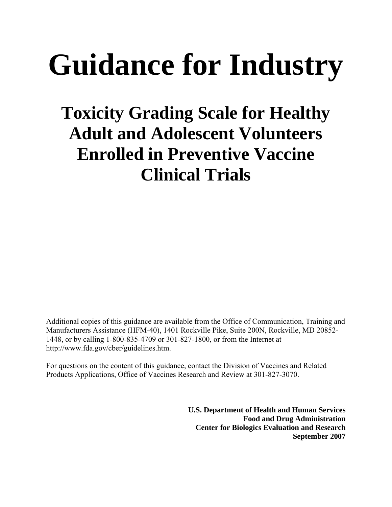# **Guidance for Industry**

# **Toxicity Grading Scale for Healthy Adult and Adolescent Volunteers Enrolled in Preventive Vaccine Clinical Trials**

Additional copies of this guidance are available from the Office of Communication, Training and Manufacturers Assistance (HFM-40), 1401 Rockville Pike, Suite 200N, Rockville, MD 20852- 1448, or by calling 1-800-835-4709 or 301-827-1800, or from the Internet at http://www.fda.gov/cber/guidelines.htm.

For questions on the content of this guidance, contact the Division of Vaccines and Related Products Applications, Office of Vaccines Research and Review at 301-827-3070.

> **U.S. Department of Health and Human Services Food and Drug Administration Center for Biologics Evaluation and Research September 2007**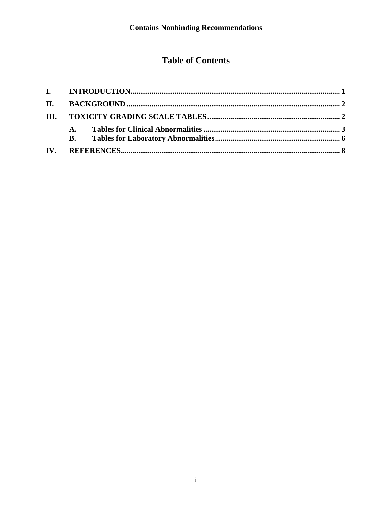# **Table of Contents**

|     | <b>A.</b> |  |
|-----|-----------|--|
|     | <b>B.</b> |  |
| IV. |           |  |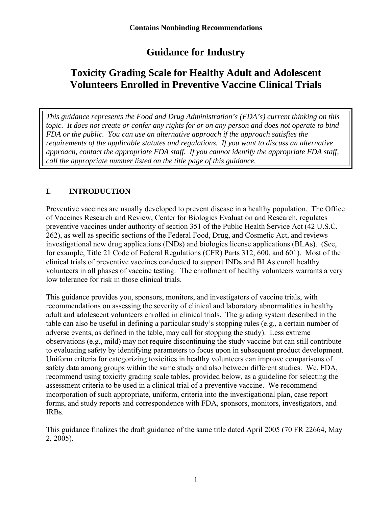# **Guidance for Industry**

## <span id="page-2-0"></span>**Toxicity Grading Scale for Healthy Adult and Adolescent Volunteers Enrolled in Preventive Vaccine Clinical Trials**

*This guidance represents the Food and Drug Administration's (FDA's) current thinking on this topic. It does not create or confer any rights for or on any person and does not operate to bind FDA or the public. You can use an alternative approach if the approach satisfies the requirements of the applicable statutes and regulations. If you want to discuss an alternative approach, contact the appropriate FDA staff. If you cannot identify the appropriate FDA staff, call the appropriate number listed on the title page of this guidance.* 

#### **I. INTRODUCTION**

Preventive vaccines are usually developed to prevent disease in a healthy population. The Office of Vaccines Research and Review, Center for Biologics Evaluation and Research, regulates preventive vaccines under authority of section 351 of the Public Health Service Act (42 U.S.C. 262), as well as specific sections of the Federal Food, Drug, and Cosmetic Act, and reviews investigational new drug applications (INDs) and biologics license applications (BLAs). (See, for example, Title 21 Code of Federal Regulations (CFR) Parts 312, 600, and 601). Most of the clinical trials of preventive vaccines conducted to support INDs and BLAs enroll healthy volunteers in all phases of vaccine testing. The enrollment of healthy volunteers warrants a very low tolerance for risk in those clinical trials.

This guidance provides you, sponsors, monitors, and investigators of vaccine trials, with recommendations on assessing the severity of clinical and laboratory abnormalities in healthy adult and adolescent volunteers enrolled in clinical trials. The grading system described in the table can also be useful in defining a particular study's stopping rules (e.g., a certain number of adverse events, as defined in the table, may call for stopping the study). Less extreme observations (e.g., mild) may not require discontinuing the study vaccine but can still contribute to evaluating safety by identifying parameters to focus upon in subsequent product development. Uniform criteria for categorizing toxicities in healthy volunteers can improve comparisons of safety data among groups within the same study and also between different studies. We, FDA, recommend using toxicity grading scale tables, provided below, as a guideline for selecting the assessment criteria to be used in a clinical trial of a preventive vaccine. We recommend incorporation of such appropriate, uniform, criteria into the investigational plan, case report forms, and study reports and correspondence with FDA, sponsors, monitors, investigators, and IRBs.

This guidance finalizes the draft guidance of the same title dated April 2005 (70 FR 22664, May 2, 2005).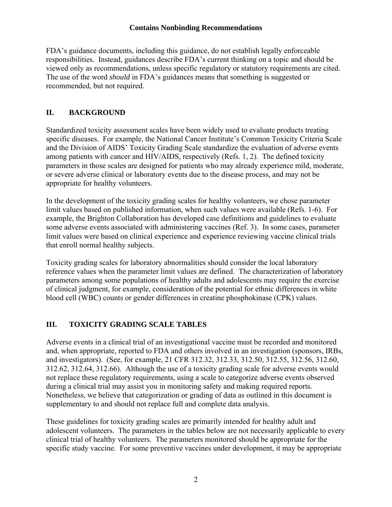<span id="page-3-0"></span>FDA's guidance documents, including this guidance, do not establish legally enforceable responsibilities. Instead, guidances describe FDA's current thinking on a topic and should be viewed only as recommendations, unless specific regulatory or statutory requirements are cited. The use of the word *should* in FDA's guidances means that something is suggested or recommended, but not required.

#### **II. BACKGROUND**

Standardized toxicity assessment scales have been widely used to evaluate products treating specific diseases. For example, the National Cancer Institute's Common Toxicity Criteria Scale and the Division of AIDS' Toxicity Grading Scale standardize the evaluation of adverse events among patients with cancer and HIV/AIDS, respectively (Refs. 1, 2). The defined toxicity parameters in those scales are designed for patients who may already experience mild, moderate, or severe adverse clinical or laboratory events due to the disease process, and may not be appropriate for healthy volunteers.

In the development of the toxicity grading scales for healthy volunteers, we chose parameter limit values based on published information, when such values were available (Refs. 1-6). For example, the Brighton Collaboration has developed case definitions and guidelines to evaluate some adverse events associated with administering vaccines (Ref. 3). In some cases, parameter limit values were based on clinical experience and experience reviewing vaccine clinical trials that enroll normal healthy subjects.

Toxicity grading scales for laboratory abnormalities should consider the local laboratory reference values when the parameter limit values are defined. The characterization of laboratory parameters among some populations of healthy adults and adolescents may require the exercise of clinical judgment, for example, consideration of the potential for ethnic differences in white blood cell (WBC) counts or gender differences in creatine phosphokinase (CPK) values.

#### **III. TOXICITY GRADING SCALE TABLES**

Adverse events in a clinical trial of an investigational vaccine must be recorded and monitored and, when appropriate, reported to FDA and others involved in an investigation (sponsors, IRBs, and investigators). (See, for example, 21 CFR 312.32, 312.33, 312.50, 312.55, 312.56, 312.60, 312.62, 312.64, 312.66). Although the use of a toxicity grading scale for adverse events would not replace these regulatory requirements, using a scale to categorize adverse events observed during a clinical trial may assist you in monitoring safety and making required reports. Nonetheless, we believe that categorization or grading of data as outlined in this document is supplementary to and should not replace full and complete data analysis.

These guidelines for toxicity grading scales are primarily intended for healthy adult and adolescent volunteers. The parameters in the tables below are not necessarily applicable to every clinical trial of healthy volunteers. The parameters monitored should be appropriate for the specific study vaccine. For some preventive vaccines under development, it may be appropriate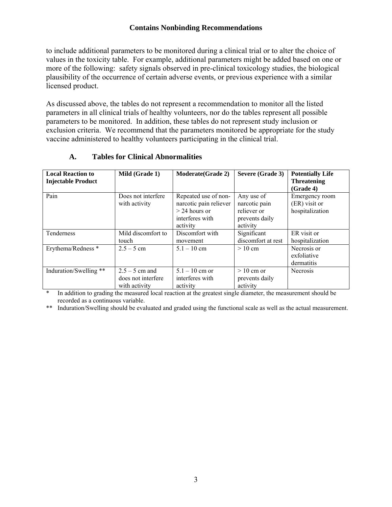<span id="page-4-0"></span>to include additional parameters to be monitored during a clinical trial or to alter the choice of values in the toxicity table. For example, additional parameters might be added based on one or more of the following: safety signals observed in pre-clinical toxicology studies, the biological plausibility of the occurrence of certain adverse events, or previous experience with a similar licensed product.

As discussed above, the tables do not represent a recommendation to monitor all the listed parameters in all clinical trials of healthy volunteers, nor do the tables represent all possible parameters to be monitored. In addition, these tables do not represent study inclusion or exclusion criteria. We recommend that the parameters monitored be appropriate for the study vaccine administered to healthy volunteers participating in the clinical trial.

| <b>Local Reaction to</b><br><b>Injectable Product</b> | Mild (Grade 1)                                          | <b>Moderate (Grade 2)</b>                                                                        | Severe (Grade 3)                                                         | <b>Potentially Life</b><br><b>Threatening</b><br>(Grade 4) |
|-------------------------------------------------------|---------------------------------------------------------|--------------------------------------------------------------------------------------------------|--------------------------------------------------------------------------|------------------------------------------------------------|
| Pain                                                  | Does not interfere<br>with activity                     | Repeated use of non-<br>narcotic pain reliever<br>$>$ 24 hours or<br>interferes with<br>activity | Any use of<br>narcotic pain<br>reliever or<br>prevents daily<br>activity | Emergency room<br>(ER) visit or<br>hospitalization         |
| Tenderness                                            | Mild discomfort to<br>touch                             | Discomfort with<br>movement                                                                      | Significant<br>discomfort at rest                                        | ER visit or<br>hospitalization                             |
| Erythema/Redness *                                    | $2.5 - 5$ cm                                            | $5.1 - 10$ cm                                                                                    | $>10$ cm                                                                 | Necrosis or<br>exfoliative<br>dermatitis                   |
| Induration/Swelling **                                | $2.5 - 5$ cm and<br>does not interfere<br>with activity | $5.1 - 10$ cm or<br>interferes with<br>activity                                                  | $>10$ cm or<br>prevents daily<br>activity                                | <b>Necrosis</b>                                            |

#### **A. Tables for Clinical Abnormalities**

In addition to grading the measured local reaction at the greatest single diameter, the measurement should be recorded as a continuous variable.

\*\* Induration/Swelling should be evaluated and graded using the functional scale as well as the actual measurement.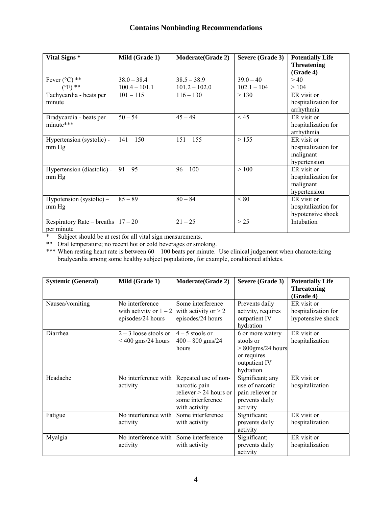| Vital Signs *                        | Mild (Grade 1)  | <b>Moderate(Grade 2)</b> | Severe (Grade 3) | <b>Potentially Life</b> |
|--------------------------------------|-----------------|--------------------------|------------------|-------------------------|
|                                      |                 |                          |                  | <b>Threatening</b>      |
|                                      |                 |                          |                  | (Grade 4)               |
| Fever $(^{\circ}C)$ **               | $38.0 - 38.4$   | $38.5 - 38.9$            | $39.0 - 40$      | > 40                    |
| $(PF)$ **                            | $100.4 - 101.1$ | $101.2 - 102.0$          | $102.1 - 104$    | >104                    |
| Tachycardia - beats per              | $101 - 115$     | $116 - 130$              | > 130            | ER visit or             |
| minute                               |                 |                          |                  | hospitalization for     |
|                                      |                 |                          |                  | arrhythmia              |
| Bradycardia - beats per              | $50 - 54$       | $45 - 49$                | < 45             | ER visit or             |
| minute***                            |                 |                          |                  | hospitalization for     |
|                                      |                 |                          |                  | arrhythmia              |
| Hypertension (systolic) -            | $141 - 150$     | $151 - 155$              | > 155            | ER visit or             |
| mm Hg                                |                 |                          |                  | hospitalization for     |
|                                      |                 |                          |                  | malignant               |
|                                      |                 |                          |                  | hypertension            |
| Hypertension (diastolic) -           | $91 - 95$       | $96 - 100$               | >100             | ER visit or             |
| mm Hg                                |                 |                          |                  | hospitalization for     |
|                                      |                 |                          |                  | malignant               |
|                                      |                 |                          |                  | hypertension            |
| Hypotension (systolic) $-$           | $85 - 89$       | $80 - 84$                | < 80             | ER visit or             |
| mm Hg                                |                 |                          |                  | hospitalization for     |
|                                      |                 |                          |                  | hypotensive shock       |
| Respiratory Rate – breaths $17 - 20$ |                 | $21 - 25$                | $>25$            | Intubation              |
| per minute                           |                 |                          |                  |                         |

\* Subject should be at rest for all vital sign measurements.

\*\* Oral temperature; no recent hot or cold beverages or smoking.

\*\*\* When resting heart rate is between 60 – 100 beats per minute. Use clinical judgement when characterizing bradycardia among some healthy subject populations, for example, conditioned athletes.

| <b>Systemic (General)</b> | Mild (Grade 1)                                                   | <b>Moderate(Grade 2)</b>                                                                                | Severe (Grade 3)                                                                                   | <b>Potentially Life</b><br><b>Threatening</b><br>(Grade 4) |
|---------------------------|------------------------------------------------------------------|---------------------------------------------------------------------------------------------------------|----------------------------------------------------------------------------------------------------|------------------------------------------------------------|
| Nausea/vomiting           | No interference<br>with activity or $1 - 2$<br>episodes/24 hours | Some interference<br>with activity or $> 2$<br>episodes/24 hours                                        | Prevents daily<br>activity, requires<br>outpatient IV<br>hydration                                 | ER visit or<br>hospitalization for<br>hypotensive shock    |
| Diarrhea                  | $2 - 3$ loose stools or<br>$< 400$ gms/24 hours                  | $4-5$ stools or<br>$400 - 800$ gms/24<br>hours                                                          | 6 or more watery<br>stools or<br>$> 800$ gms/24 hours<br>or requires<br>outpatient IV<br>hydration | ER visit or<br>hospitalization                             |
| Headache                  | No interference with<br>activity                                 | Repeated use of non-<br>narcotic pain<br>reliever $> 24$ hours or<br>some interference<br>with activity | Significant; any<br>use of narcotic<br>pain reliever or<br>prevents daily<br>activity              | ER visit or<br>hospitalization                             |
| Fatigue                   | No interference with<br>activity                                 | Some interference<br>with activity                                                                      | Significant;<br>prevents daily<br>activity                                                         | ER visit or<br>hospitalization                             |
| Myalgia                   | No interference with<br>activity                                 | Some interference<br>with activity                                                                      | Significant;<br>prevents daily<br>activity                                                         | ER visit or<br>hospitalization                             |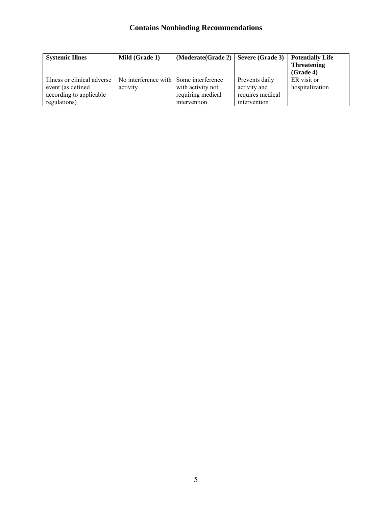| <b>Systemic Illnes</b>      | Mild (Grade 1)                         | (Moderate(Grade 2)   Severe(Grade 3) |                  | <b>Potentially Life</b> |
|-----------------------------|----------------------------------------|--------------------------------------|------------------|-------------------------|
|                             |                                        |                                      |                  | <b>Threatening</b>      |
|                             |                                        |                                      |                  | (Grade 4)               |
| Illness or clinical adverse | No interference with Some interference |                                      | Prevents daily   | ER visit or             |
| event (as defined           | activity                               | with activity not                    | activity and     | hospitalization         |
| according to applicable     |                                        | requiring medical                    | requires medical |                         |
| regulations)                |                                        | intervention                         | intervention     |                         |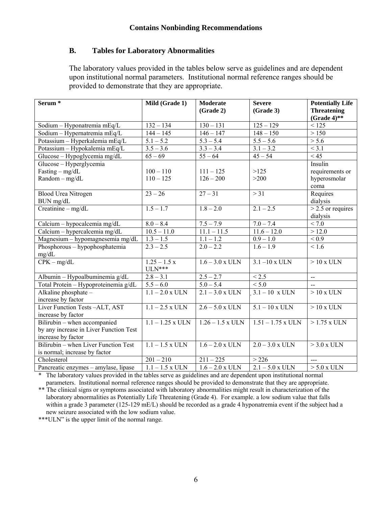#### <span id="page-7-0"></span>**B. Tables for Laboratory Abnormalities**

The laboratory values provided in the tables below serve as guidelines and are dependent upon institutional normal parameters. Institutional normal reference ranges should be provided to demonstrate that they are appropriate.

| Serum <sup>*</sup>                     | Mild (Grade 1)         | <b>Moderate</b><br>(Grade 2) | <b>Severe</b><br>(Grade 3) | <b>Potentially Life</b><br><b>Threatening</b> |
|----------------------------------------|------------------------|------------------------------|----------------------------|-----------------------------------------------|
|                                        |                        |                              |                            | (Grade $4$ )**                                |
| Sodium - Hyponatremia mEq/L            | $132 - 134$            | $130 - 131$                  | $125 - 129$                | < 125                                         |
| Sodium - Hypernatremia mEq/L           | $144 - 145$            | $\frac{146 - 147}{2}$        | $\overline{148} - 150$     | > 150                                         |
| Potassium - Hyperkalemia mEq/L         | $5.1 - 5.2$            | $5.3 - 5.4$                  | $5.5 - 5.6$                | > 5.6                                         |
| Potassium - Hypokalemia mEq/L          | $3.5 - 3.6$            | $3.3 - 3.4$                  | $3.1 - 3.2$                | < 3.1                                         |
| Glucose - Hypoglycemia mg/dL           | $65 - 69$              | $55 - 64$                    | $45 - 54$                  | < 45                                          |
| Glucose - Hyperglycemia                |                        |                              |                            | Insulin                                       |
| Fasting $-$ mg/dL                      | $100 - 110$            | $111 - 125$                  | >125                       | requirements or                               |
| $Random - mg/dL$                       | $110 - 125$            | $126 - 200$                  | >200                       | hyperosmolar                                  |
|                                        |                        |                              |                            | coma                                          |
| <b>Blood Urea Nitrogen</b>             | $23 - 26$              | $27 - 31$                    | > 31                       | Requires                                      |
| BUN mg/dL                              |                        |                              |                            | dialysis                                      |
| Creatinine $-$ mg/dL                   | $1.5 - 1.7$            | $1.8 - 2.0$                  | $2.1 - 2.5$                | $>$ 2.5 or requires                           |
|                                        |                        |                              |                            | dialysis                                      |
| Calcium - hypocalcemia mg/dL           | $8.0 - 8.4$            | $7.5 - 7.9$                  | $7.0 - 7.4$                | < 7.0                                         |
| Calcium - hypercalcemia mg/dL          | $10.5 - 11.0$          | $11.1 - 11.5$                | $11.6 - 12.0$              | >12.0                                         |
| Magnesium - hypomagnesemia mg/dL       | $\overline{1.3} - 1.5$ | $1.1 - 1.2$                  | $0.9 - 1.0$                | < 0.9                                         |
| Phosphorous – hypophosphatemia         | $2.3 - 2.5$            | $2.0 - 2.2$                  | $1.6 - 1.9$                | < 1.6                                         |
| mg/dL                                  |                        |                              |                            |                                               |
| $CPK - mg/dL$                          | $1.25 - 1.5x$          | $1.6 - 3.0$ x ULN            | $3.1 - 10 \times ULN$      | $>10 x$ ULN                                   |
|                                        | $ULN***$               |                              |                            |                                               |
| Albumin - Hypoalbuminemia g/dL         | $2.8 - 3.1$            | $2.5 - 2.7$                  | < 2.5                      | $-$                                           |
| Total Protein - Hypoproteinemia g/dL   | $5.5 - 6.0$            | $5.0 - 5.4$                  | < 5.0                      | $\overline{a}$                                |
| Alkaline phosphate -                   | $1.1 - 2.0$ x ULN      | $2.1 - 3.0$ x ULN            | $3.1 - 10 \times ULN$      | $>10x$ ULN                                    |
| increase by factor                     |                        |                              |                            |                                               |
| Liver Function Tests-ALT, AST          | $1.1 - 2.5$ x ULN      | $2.6 - 5.0$ x ULN            | $5.1 - 10 \times ULN$      | $>10x$ ULN                                    |
| increase by factor                     |                        |                              |                            |                                               |
| Bilirubin - when accompanied           | $1.1 - 1.25$ x ULN     | $1.26 - 1.5$ x ULN           | $1.51 - 1.75$ x ULN        | $>1.75$ x ULN                                 |
| by any increase in Liver Function Test |                        |                              |                            |                                               |
| increase by factor                     |                        |                              |                            |                                               |
| Bilirubin – when Liver Function Test   | $1.1 - 1.5$ x ULN      | $1.6 - 2.0$ x ULN            | $2.0 - 3.0$ x ULN          | $>$ 3.0 x ULN                                 |
| is normal; increase by factor          |                        |                              |                            |                                               |
| Cholesterol                            | $201 - 210$            | $211 - 225$                  | > 226                      | $\overline{a}$                                |
| Pancreatic enzymes - amylase, lipase   | $1.1 - 1.5$ x ULN      | $1.6 - 2.0$ x ULN            | $2.1 - 5.0$ x ULN          | $> 5.0$ x ULN                                 |

\* The laboratory values provided in the tables serve as guidelines and are dependent upon institutional normal parameters. Institutional normal reference ranges should be provided to demonstrate that they are appropriate.

\*\* The clinical signs or symptoms associated with laboratory abnormalities might result in characterization of the laboratory abnormalities as Potentially Life Threatening (Grade 4). For example. a low sodium value that falls within a grade 3 parameter (125-129 mE/L) should be recorded as a grade 4 hyponatremia event if the subject had a new seizure associated with the low sodium value.

\*\*\*ULN" is the upper limit of the normal range.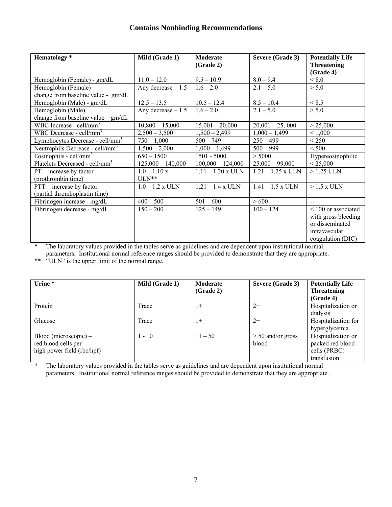| <b>Hematology</b> *                                             | Mild (Grade 1)            | Moderate<br>(Grade 2) | Severe (Grade 3)    | <b>Potentially Life</b><br><b>Threatening</b><br>(Grade 4)                                          |
|-----------------------------------------------------------------|---------------------------|-----------------------|---------------------|-----------------------------------------------------------------------------------------------------|
| Hemoglobin (Female) - gm/dL                                     | $11.0 - 12.0$             | $9.5 - 10.9$          | $8.0 - 9.4$         | < 8.0                                                                                               |
| Hemoglobin (Female)<br>change from baseline value - gm/dL       | Any decrease $-1.5$       | $1.6 - 2.0$           | $2.1 - 5.0$         | > 5.0                                                                                               |
| Hemoglobin (Male) - gm/dL                                       | $12.5 - 13.5$             | $10.5 - 12.4$         | $8.5 - 10.4$        | < 8.5                                                                                               |
| Hemoglobin (Male)<br>change from baseline value $-\text{gm/dL}$ | Any decrease $-1.5$       | $1.6 - 2.0$           | $2.1 - 5.0$         | > 5.0                                                                                               |
| WBC Increase - cell/mm <sup>3</sup>                             | $10,800 - 15,000$         | $15,001 - 20,000$     | $20,001 - 25,000$   | > 25,000                                                                                            |
| WBC Decrease - cell/mm <sup>3</sup>                             | $2,500 - 3,500$           | $1,500 - 2,499$       | $1,000 - 1,499$     | < 1,000                                                                                             |
| Lymphocytes Decrease - cell/mm <sup>3</sup>                     | $750 - 1,000$             | $500 - 749$           | $250 - 499$         | < 250                                                                                               |
| Neutrophils Decrease - cell/mm <sup>3</sup>                     | $1,500 - 2,000$           | $1,000 - 1,499$       | $500 - 999$         | < 500                                                                                               |
| Eosinophils - cell/mm <sup>3</sup>                              | $650 - 1500$              | $1501 - 5000$         | > 5000              | Hypereosinophilic                                                                                   |
| Platelets Decreased - cell/mm <sup>3</sup>                      | $125,000 - 140,000$       | $100,000 - 124,000$   | $25,000 - 99,000$   | < 25,000                                                                                            |
| $PT$ – increase by factor<br>(prothrombin time)                 | $1.0 - 1.10 x$<br>$ULN**$ | $1.11 - 1.20$ x ULN   | $1.21 - 1.25$ x ULN | $>1.25$ ULN                                                                                         |
| $PTT - increase by factor$<br>(partial thromboplastin time)     | $1.0 - 1.2$ x ULN         | $1.21 - 1.4$ x ULN    | $1.41 - 1.5$ x ULN  | $>1.5$ x ULN                                                                                        |
| Fibrinogen increase - mg/dL                                     | $400 - 500$               | $501 - 600$           | > 600               | $-$                                                                                                 |
| Fibrinogen decrease - mg/dL                                     | $150 - 200$               | $125 - 149$           | $100 - 124$         | < 100 or associated<br>with gross bleeding<br>or disseminated<br>intravascular<br>coagulation (DIC) |

\* The laboratory values provided in the tables serve as guidelines and are dependent upon institutional normal parameters. Institutional normal reference ranges should be provided to demonstrate that they are appropriate.

\*\* "ULN" is the upper limit of the normal range.

| Urine $*$                                                                    | Mild (Grade 1) | <b>Moderate</b><br>(Grade 2) | Severe (Grade 3)             | <b>Potentially Life</b><br><b>Threatening</b><br>(Grade 4)            |
|------------------------------------------------------------------------------|----------------|------------------------------|------------------------------|-----------------------------------------------------------------------|
| Protein                                                                      | Trace          | $1+$                         | $2+$                         | Hospitalization or<br>dialysis                                        |
| Glucose                                                                      | Trace          | $1+$                         | $2+$                         | Hospitalization for<br>hyperglycemia                                  |
| $Blood$ (microscopic) –<br>red blood cells per<br>high power field (rbc/hpf) | $1 - 10$       | $11 - 50$                    | $> 50$ and/or gross<br>blood | Hospitalization or<br>packed red blood<br>cells (PRBC)<br>transfusion |

\* The laboratory values provided in the tables serve as guidelines and are dependent upon institutional normal parameters. Institutional normal reference ranges should be provided to demonstrate that they are appropriate.